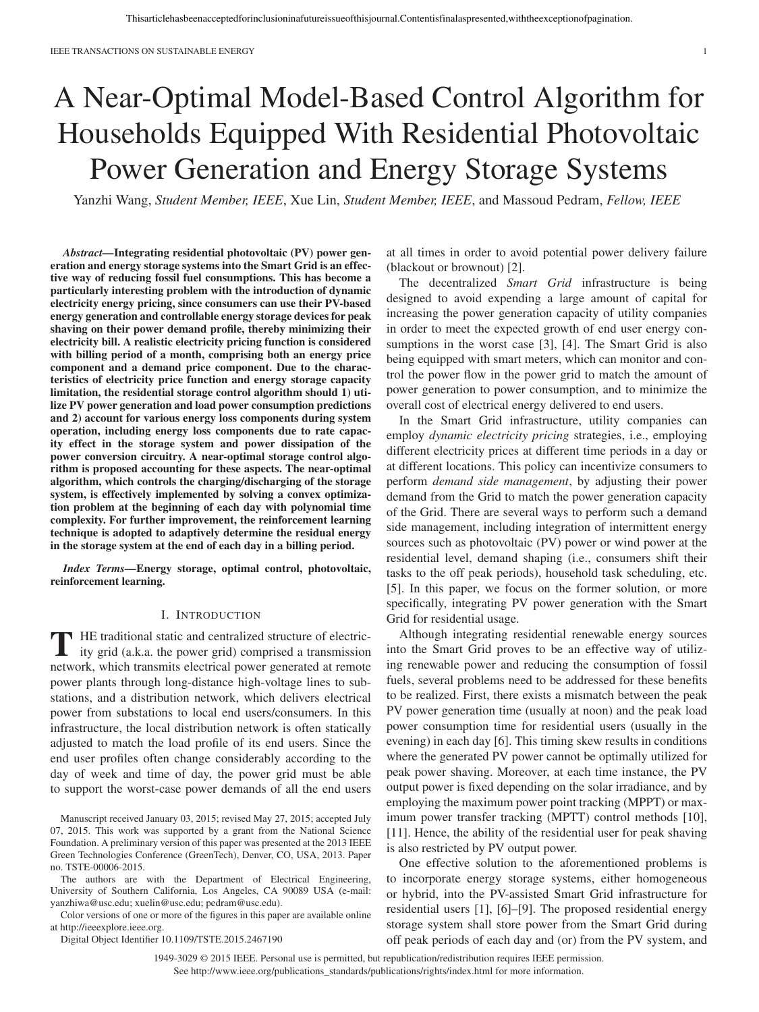# A Near-Optimal Model-Based Control Algorithm for Households Equipped With Residential Photovoltaic Power Generation and Energy Storage Systems

Yanzhi Wang, *Student Member, IEEE*, Xue Lin, *Student Member, IEEE*, and Massoud Pedram, *Fellow, IEEE*

*Abstract—***Integrating residential photovoltaic (PV) power generation and energy storage systems into the Smart Grid is an effective way of reducing fossil fuel consumptions. This has become a particularly interesting problem with the introduction of dynamic electricity energy pricing, since consumers can use their PV-based energy generation and controllable energy storage devices for peak shaving on their power demand profile, thereby minimizing their electricity bill. A realistic electricity pricing function is considered with billing period of a month, comprising both an energy price component and a demand price component. Due to the characteristics of electricity price function and energy storage capacity limitation, the residential storage control algorithm should 1) utilize PV power generation and load power consumption predictions and 2) account for various energy loss components during system operation, including energy loss components due to rate capacity effect in the storage system and power dissipation of the power conversion circuitry. A near-optimal storage control algorithm is proposed accounting for these aspects. The near-optimal algorithm, which controls the charging/discharging of the storage system, is effectively implemented by solving a convex optimization problem at the beginning of each day with polynomial time complexity. For further improvement, the reinforcement learning technique is adopted to adaptively determine the residual energy in the storage system at the end of each day in a billing period.**

*Index Terms—***Energy storage, optimal control, photovoltaic, reinforcement learning.**

## I. INTRODUCTION

**T** HE traditional static and centralized structure of electric-ity grid (a.k.a. the power grid) comprised a transmission network, which transmits electrical power generated at remote power plants through long-distance high-voltage lines to substations, and a distribution network, which delivers electrical power from substations to local end users/consumers. In this infrastructure, the local distribution network is often statically adjusted to match the load profile of its end users. Since the end user profiles often change considerably according to the day of week and time of day, the power grid must be able to support the worst-case power demands of all the end users

Manuscript received January 03, 2015; revised May 27, 2015; accepted July 07, 2015. This work was supported by a grant from the National Science Foundation. A preliminary version of this paper was presented at the 2013 IEEE Green Technologies Conference (GreenTech), Denver, CO, USA, 2013. Paper no. TSTE-00006-2015.

The authors are with the Department of Electrical Engineering, University of Southern California, Los Angeles, CA 90089 USA (e-mail: yanzhiwa@usc.edu; xuelin@usc.edu; pedram@usc.edu).

Color versions of one or more of the figures in this paper are available online at http://ieeexplore.ieee.org.

Digital Object Identifier 10.1109/TSTE.2015.2467190

at all times in order to avoid potential power delivery failure (blackout or brownout) [2].

The decentralized *Smart Grid* infrastructure is being designed to avoid expending a large amount of capital for increasing the power generation capacity of utility companies in order to meet the expected growth of end user energy consumptions in the worst case [3], [4]. The Smart Grid is also being equipped with smart meters, which can monitor and control the power flow in the power grid to match the amount of power generation to power consumption, and to minimize the overall cost of electrical energy delivered to end users.

In the Smart Grid infrastructure, utility companies can employ *dynamic electricity pricing* strategies, i.e., employing different electricity prices at different time periods in a day or at different locations. This policy can incentivize consumers to perform *demand side management*, by adjusting their power demand from the Grid to match the power generation capacity of the Grid. There are several ways to perform such a demand side management, including integration of intermittent energy sources such as photovoltaic (PV) power or wind power at the residential level, demand shaping (i.e., consumers shift their tasks to the off peak periods), household task scheduling, etc. [5]. In this paper, we focus on the former solution, or more specifically, integrating PV power generation with the Smart Grid for residential usage.

Although integrating residential renewable energy sources into the Smart Grid proves to be an effective way of utilizing renewable power and reducing the consumption of fossil fuels, several problems need to be addressed for these benefits to be realized. First, there exists a mismatch between the peak PV power generation time (usually at noon) and the peak load power consumption time for residential users (usually in the evening) in each day [6]. This timing skew results in conditions where the generated PV power cannot be optimally utilized for peak power shaving. Moreover, at each time instance, the PV output power is fixed depending on the solar irradiance, and by employing the maximum power point tracking (MPPT) or maximum power transfer tracking (MPTT) control methods [10], [11]. Hence, the ability of the residential user for peak shaving is also restricted by PV output power.

One effective solution to the aforementioned problems is to incorporate energy storage systems, either homogeneous or hybrid, into the PV-assisted Smart Grid infrastructure for residential users [1], [6]–[9]. The proposed residential energy storage system shall store power from the Smart Grid during off peak periods of each day and (or) from the PV system, and

1949-3029 © 2015 IEEE. Personal use is permitted, but republication/redistribution requires IEEE permission.

See http://www.ieee.org/publications\_standards/publications/rights/index.html for more information.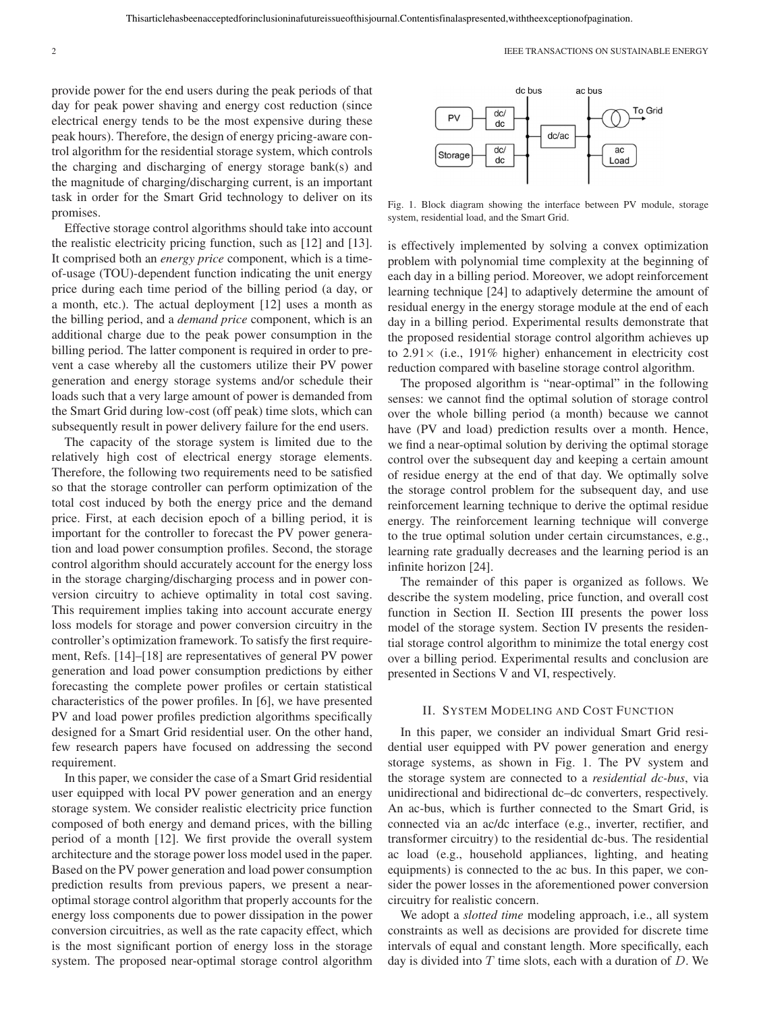provide power for the end users during the peak periods of that day for peak power shaving and energy cost reduction (since electrical energy tends to be the most expensive during these peak hours). Therefore, the design of energy pricing-aware control algorithm for the residential storage system, which controls the charging and discharging of energy storage bank(s) and the magnitude of charging/discharging current, is an important task in order for the Smart Grid technology to deliver on its promises.

Effective storage control algorithms should take into account the realistic electricity pricing function, such as [12] and [13]. It comprised both an *energy price* component, which is a timeof-usage (TOU)-dependent function indicating the unit energy price during each time period of the billing period (a day, or a month, etc.). The actual deployment [12] uses a month as the billing period, and a *demand price* component, which is an additional charge due to the peak power consumption in the billing period. The latter component is required in order to prevent a case whereby all the customers utilize their PV power generation and energy storage systems and/or schedule their loads such that a very large amount of power is demanded from the Smart Grid during low-cost (off peak) time slots, which can subsequently result in power delivery failure for the end users.

The capacity of the storage system is limited due to the relatively high cost of electrical energy storage elements. Therefore, the following two requirements need to be satisfied so that the storage controller can perform optimization of the total cost induced by both the energy price and the demand price. First, at each decision epoch of a billing period, it is important for the controller to forecast the PV power generation and load power consumption profiles. Second, the storage control algorithm should accurately account for the energy loss in the storage charging/discharging process and in power conversion circuitry to achieve optimality in total cost saving. This requirement implies taking into account accurate energy loss models for storage and power conversion circuitry in the controller's optimization framework. To satisfy the first requirement, Refs. [14]–[18] are representatives of general PV power generation and load power consumption predictions by either forecasting the complete power profiles or certain statistical characteristics of the power profiles. In [6], we have presented PV and load power profiles prediction algorithms specifically designed for a Smart Grid residential user. On the other hand, few research papers have focused on addressing the second requirement.

In this paper, we consider the case of a Smart Grid residential user equipped with local PV power generation and an energy storage system. We consider realistic electricity price function composed of both energy and demand prices, with the billing period of a month [12]. We first provide the overall system architecture and the storage power loss model used in the paper. Based on the PV power generation and load power consumption prediction results from previous papers, we present a nearoptimal storage control algorithm that properly accounts for the energy loss components due to power dissipation in the power conversion circuitries, as well as the rate capacity effect, which is the most significant portion of energy loss in the storage system. The proposed near-optimal storage control algorithm



Fig. 1. Block diagram showing the interface between PV module, storage system, residential load, and the Smart Grid.

is effectively implemented by solving a convex optimization problem with polynomial time complexity at the beginning of each day in a billing period. Moreover, we adopt reinforcement learning technique [24] to adaptively determine the amount of residual energy in the energy storage module at the end of each day in a billing period. Experimental results demonstrate that the proposed residential storage control algorithm achieves up to  $2.91 \times$  (i.e., 191% higher) enhancement in electricity cost reduction compared with baseline storage control algorithm.

The proposed algorithm is "near-optimal" in the following senses: we cannot find the optimal solution of storage control over the whole billing period (a month) because we cannot have (PV and load) prediction results over a month. Hence, we find a near-optimal solution by deriving the optimal storage control over the subsequent day and keeping a certain amount of residue energy at the end of that day. We optimally solve the storage control problem for the subsequent day, and use reinforcement learning technique to derive the optimal residue energy. The reinforcement learning technique will converge to the true optimal solution under certain circumstances, e.g., learning rate gradually decreases and the learning period is an infinite horizon [24].

The remainder of this paper is organized as follows. We describe the system modeling, price function, and overall cost function in Section II. Section III presents the power loss model of the storage system. Section IV presents the residential storage control algorithm to minimize the total energy cost over a billing period. Experimental results and conclusion are presented in Sections V and VI, respectively.

## II. SYSTEM MODELING AND COST FUNCTION

In this paper, we consider an individual Smart Grid residential user equipped with PV power generation and energy storage systems, as shown in Fig. 1. The PV system and the storage system are connected to a *residential dc-bus*, via unidirectional and bidirectional dc–dc converters, respectively. An ac-bus, which is further connected to the Smart Grid, is connected via an ac/dc interface (e.g., inverter, rectifier, and transformer circuitry) to the residential dc-bus. The residential ac load (e.g., household appliances, lighting, and heating equipments) is connected to the ac bus. In this paper, we consider the power losses in the aforementioned power conversion circuitry for realistic concern.

We adopt a *slotted time* modeling approach, i.e., all system constraints as well as decisions are provided for discrete time intervals of equal and constant length. More specifically, each day is divided into  $T$  time slots, each with a duration of  $D$ . We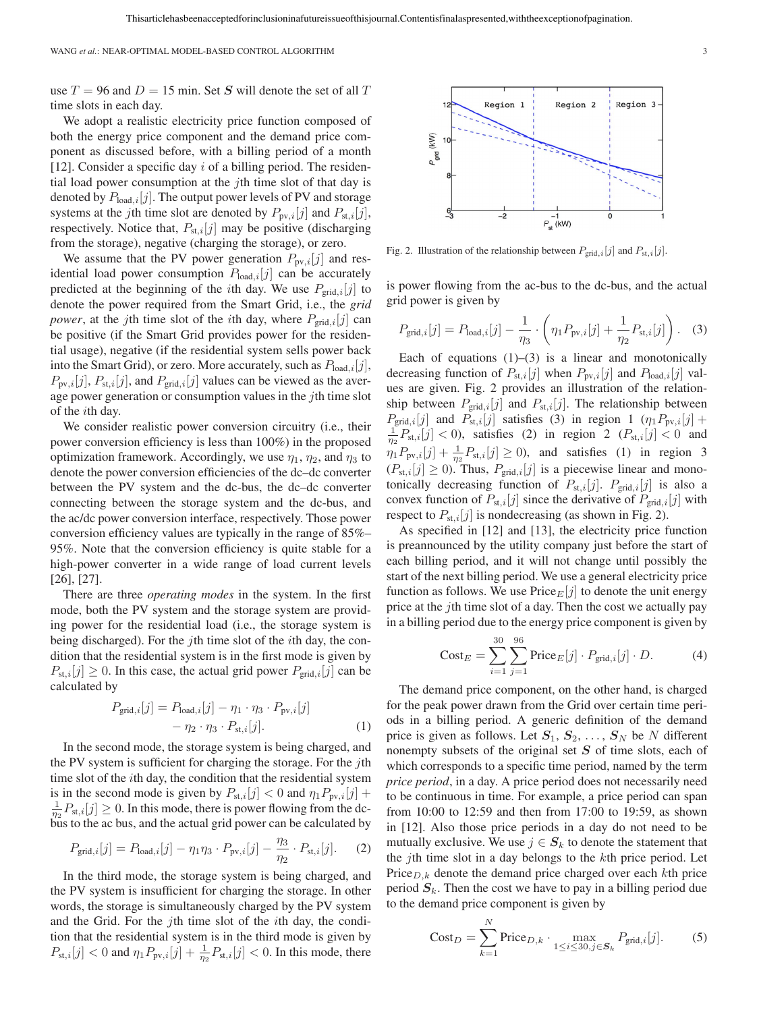use  $T = 96$  and  $D = 15$  min. Set *S* will denote the set of all T time slots in each day.

We adopt a realistic electricity price function composed of both the energy price component and the demand price component as discussed before, with a billing period of a month [12]. Consider a specific day  $i$  of a billing period. The residential load power consumption at the  $j$ th time slot of that day is denoted by  $P_{load,i}[j]$ . The output power levels of PV and storage systems at the jth time slot are denoted by  $P_{\text{pv},i}[j]$  and  $P_{\text{st},i}[j]$ , respectively. Notice that,  $P_{st,i}[j]$  may be positive (discharging from the storage), negative (charging the storage), or zero.

We assume that the PV power generation  $P_{\text{pv},i}[j]$  and residential load power consumption  $P_{load,i}[j]$  can be accurately predicted at the beginning of the *i*th day. We use  $P_{grid,i}[j]$  to denote the power required from the Smart Grid, i.e., the *grid power*, at the jth time slot of the *i*th day, where  $P_{grid,i}[j]$  can be positive (if the Smart Grid provides power for the residential usage), negative (if the residential system sells power back into the Smart Grid), or zero. More accurately, such as  $P_{load,i}[j]$ ,  $P_{\text{pv},i}[j], P_{\text{st},i}[j]$ , and  $P_{\text{grid},i}[j]$  values can be viewed as the average power generation or consumption values in the jth time slot of the ith day.

We consider realistic power conversion circuitry (i.e., their power conversion efficiency is less than 100%) in the proposed optimization framework. Accordingly, we use  $\eta_1$ ,  $\eta_2$ , and  $\eta_3$  to denote the power conversion efficiencies of the dc–dc converter between the PV system and the dc-bus, the dc–dc converter connecting between the storage system and the dc-bus, and the ac/dc power conversion interface, respectively. Those power conversion efficiency values are typically in the range of 85%– 95%. Note that the conversion efficiency is quite stable for a high-power converter in a wide range of load current levels [26], [27].

There are three *operating modes* in the system. In the first mode, both the PV system and the storage system are providing power for the residential load (i.e., the storage system is being discharged). For the jth time slot of the *i*th day, the condition that the residential system is in the first mode is given by  $P_{st,i}[j] \geq 0$ . In this case, the actual grid power  $P_{grid,i}[j]$  can be calculated by

$$
P_{\text{grid},i}[j] = P_{\text{load},i}[j] - \eta_1 \cdot \eta_3 \cdot P_{\text{pv},i}[j] - \eta_2 \cdot \eta_3 \cdot P_{\text{st},i}[j]. \tag{1}
$$

In the second mode, the storage system is being charged, and the PV system is sufficient for charging the storage. For the  $j$ th time slot of the *i*th day, the condition that the residential system is in the second mode is given by  $P_{st,i}[j] < 0$  and  $\eta_1 P_{pv,i}[j]$  +  $\frac{1}{\eta_2}P_{st,i}[j] \geq 0$ . In this mode, there is power flowing from the dcbus to the ac bus, and the actual grid power can be calculated by

$$
P_{\text{grid},i}[j] = P_{\text{load},i}[j] - \eta_1 \eta_3 \cdot P_{\text{pv},i}[j] - \frac{\eta_3}{\eta_2} \cdot P_{\text{st},i}[j]. \tag{2}
$$

In the third mode, the storage system is being charged, and the PV system is insufficient for charging the storage. In other words, the storage is simultaneously charged by the PV system and the Grid. For the jth time slot of the ith day, the condition that the residential system is in the third mode is given by  $P_{\text{st},i}[j] < 0$  and  $\eta_1 P_{\text{pv},i}[j] + \frac{1}{\eta_2} P_{\text{st},i}[j] < 0$ . In this mode, there



Fig. 2. Illustration of the relationship between  $P_{\text{grid},i}[j]$  and  $P_{\text{st},i}[j]$ .

is power flowing from the ac-bus to the dc-bus, and the actual grid power is given by

$$
P_{\text{grid},i}[j] = P_{\text{load},i}[j] - \frac{1}{\eta_3} \cdot \left( \eta_1 P_{\text{pv},i}[j] + \frac{1}{\eta_2} P_{\text{st},i}[j] \right). \tag{3}
$$

Each of equations  $(1)$ – $(3)$  is a linear and monotonically decreasing function of  $P_{st,i}[j]$  when  $P_{pv,i}[j]$  and  $P_{load,i}[j]$  values are given. Fig. 2 provides an illustration of the relationship between  $P_{\text{grid},i}[j]$  and  $P_{\text{st},i}[j]$ . The relationship between  $P_{\text{grid},i}[j]$  and  $P_{\text{st},i}[j]$  satisfies (3) in region 1  $(\eta_1 P_{\text{pv},i}[j] +$  $\frac{1}{\eta_2} P_{\text{st},i}[j] < 0$ , satisfies (2) in region 2  $(P_{\text{st},i}[j] < 0$  and  $\eta_1 P_{\text{pv},i}[j] + \frac{1}{\eta_2} P_{\text{st},i}[j] \ge 0$ , and satisfies (1) in region 3  $(P_{st,i}[j] \ge 0)$ . Thus,  $P_{grid,i}[j]$  is a piecewise linear and monotonically decreasing function of  $P_{st,i}[j]$ .  $P_{grid,i}[j]$  is also a convex function of  $P_{st,i}[j]$  since the derivative of  $P_{grid,i}[j]$  with respect to  $P_{st,i}[j]$  is nondecreasing (as shown in Fig. 2).

As specified in [12] and [13], the electricity price function is preannounced by the utility company just before the start of each billing period, and it will not change until possibly the start of the next billing period. We use a general electricity price function as follows. We use  $\text{Price}_E[j]$  to denote the unit energy price at the jth time slot of a day. Then the cost we actually pay in a billing period due to the energy price component is given by

$$
\text{Cost}_E = \sum_{i=1}^{30} \sum_{j=1}^{96} \text{Price}_E[j] \cdot P_{\text{grid},i}[j] \cdot D. \tag{4}
$$

The demand price component, on the other hand, is charged for the peak power drawn from the Grid over certain time periods in a billing period. A generic definition of the demand price is given as follows. Let  $S_1, S_2, \ldots, S_N$  be N different nonempty subsets of the original set *S* of time slots, each of which corresponds to a specific time period, named by the term *price period*, in a day. A price period does not necessarily need to be continuous in time. For example, a price period can span from 10:00 to 12:59 and then from 17:00 to 19:59, as shown in [12]. Also those price periods in a day do not need to be mutually exclusive. We use  $j \in S_k$  to denote the statement that the *j*th time slot in a day belongs to the  $k$ th price period. Let Price $D_k$  denote the demand price charged over each kth price period *S*k. Then the cost we have to pay in a billing period due to the demand price component is given by

$$
Cost_D = \sum_{k=1}^{N} \text{Price}_{D,k} \cdot \max_{1 \le i \le 30, j \in S_k} P_{\text{grid},i}[j]. \tag{5}
$$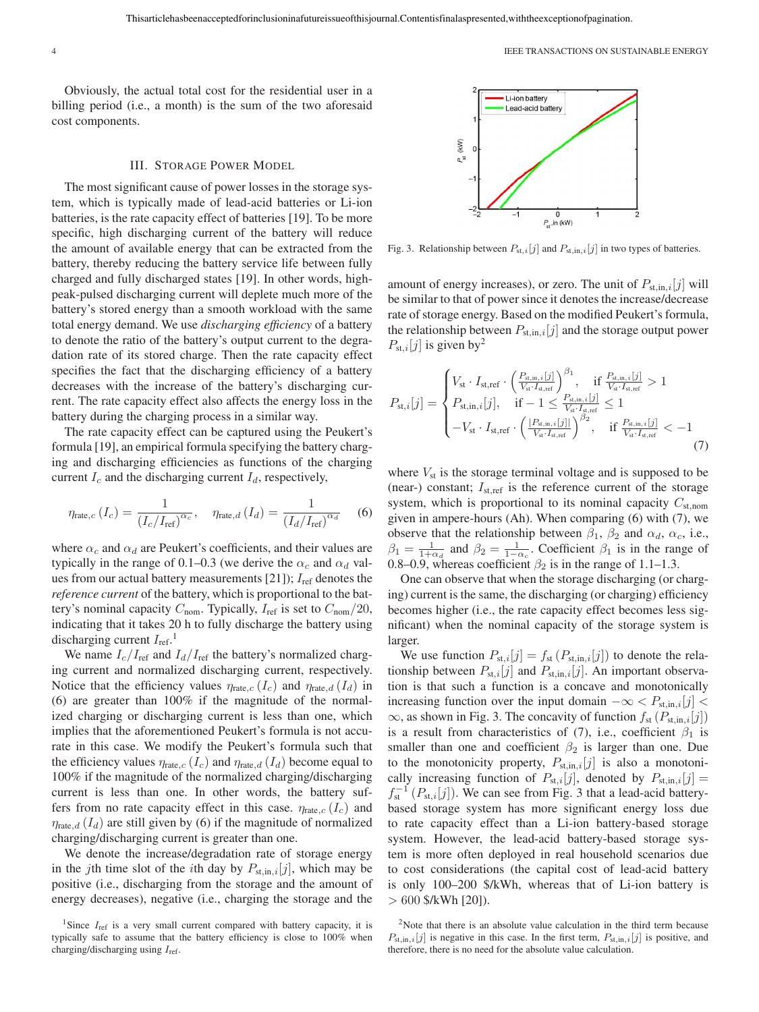Obviously, the actual total cost for the residential user in a billing period (i.e., a month) is the sum of the two aforesaid cost components.

#### III. STORAGE POWER MODEL

The most significant cause of power losses in the storage system, which is typically made of lead-acid batteries or Li-ion batteries, is the rate capacity effect of batteries [19]. To be more specific, high discharging current of the battery will reduce the amount of available energy that can be extracted from the battery, thereby reducing the battery service life between fully charged and fully discharged states [19]. In other words, highpeak-pulsed discharging current will deplete much more of the battery's stored energy than a smooth workload with the same total energy demand. We use *discharging efficiency* of a battery to denote the ratio of the battery's output current to the degradation rate of its stored charge. Then the rate capacity effect specifies the fact that the discharging efficiency of a battery decreases with the increase of the battery's discharging current. The rate capacity effect also affects the energy loss in the battery during the charging process in a similar way.

The rate capacity effect can be captured using the Peukert's formula [19], an empirical formula specifying the battery charging and discharging efficiencies as functions of the charging current  $I_c$  and the discharging current  $I_d$ , respectively,

$$
\eta_{\text{rate},c}(I_c) = \frac{1}{(I_c/I_{\text{ref}})^{\alpha_c}}, \quad \eta_{\text{rate},d}(I_d) = \frac{1}{(I_d/I_{\text{ref}})^{\alpha_d}} \quad (6)
$$

where  $\alpha_c$  and  $\alpha_d$  are Peukert's coefficients, and their values are typically in the range of 0.1–0.3 (we derive the  $\alpha_c$  and  $\alpha_d$  values from our actual battery measurements [21]);  $I_{ref}$  denotes the *reference current* of the battery, which is proportional to the battery's nominal capacity  $C_{\text{nom}}$ . Typically,  $I_{\text{ref}}$  is set to  $C_{\text{nom}}/20$ , indicating that it takes 20 h to fully discharge the battery using discharging current  $I_{\text{ref.}}$ <sup>1</sup>

We name  $I_c/I_{ref}$  and  $I_d/I_{ref}$  the battery's normalized charging current and normalized discharging current, respectively. Notice that the efficiency values  $\eta_{\text{rate},c}$  ( $I_c$ ) and  $\eta_{\text{rate},d}$  ( $I_d$ ) in (6) are greater than 100% if the magnitude of the normalized charging or discharging current is less than one, which implies that the aforementioned Peukert's formula is not accurate in this case. We modify the Peukert's formula such that the efficiency values  $\eta_{\text{rate},c}$  ( $I_c$ ) and  $\eta_{\text{rate},d}$  ( $I_d$ ) become equal to 100% if the magnitude of the normalized charging/discharging current is less than one. In other words, the battery suffers from no rate capacity effect in this case.  $\eta_{\text{rate},c}$  ( $I_c$ ) and  $\eta_{\text{rate},d}$  ( $I_d$ ) are still given by (6) if the magnitude of normalized charging/discharging current is greater than one.

We denote the increase/degradation rate of storage energy in the jth time slot of the *i*th day by  $P_{st,in,i}[j]$ , which may be positive (i.e., discharging from the storage and the amount of energy decreases), negative (i.e., charging the storage and the



Fig. 3. Relationship between  $P_{st,i}[j]$  and  $P_{st,in,i}[j]$  in two types of batteries.

amount of energy increases), or zero. The unit of  $P_{st,in,i}[j]$  will be similar to that of power since it denotes the increase/decrease rate of storage energy. Based on the modified Peukert's formula, the relationship between  $P_{st,in,i}[j]$  and the storage output power  $P_{\text{st},i}[j]$  is given by<sup>2</sup>

$$
P_{\text{st},i}[j] = \begin{cases} V_{\text{st}} \cdot I_{\text{st,ref}} \cdot \left( \frac{P_{\text{st,in},i}[j]}{V_{\text{st}} \cdot I_{\text{st,ref}}} \right)^{\beta_1}, & \text{if } \frac{P_{\text{st,in},i}[j]}{V_{\text{st}} \cdot I_{\text{st,ref}}} > 1 \\ P_{\text{st,in},i}[j], & \text{if } -1 \le \frac{P_{\text{st,in},i}[j]}{V_{\text{st}} \cdot I_{\text{st,ref}}} \le 1 \\ -V_{\text{st}} \cdot I_{\text{st,ref}} \cdot \left( \frac{|P_{\text{st,in},i}[j]|}{V_{\text{st}} \cdot I_{\text{st,ref}}} \right)^{\beta_2}, & \text{if } \frac{P_{\text{st,in},i}[j]}{V_{\text{st}} \cdot I_{\text{st,ref}}} < -1 \\ \end{cases} \tag{7}
$$

where  $V_{st}$  is the storage terminal voltage and is supposed to be (near-) constant;  $I_{\text{st,ref}}$  is the reference current of the storage system, which is proportional to its nominal capacity  $C_{\text{st,nom}}$ given in ampere-hours (Ah). When comparing (6) with (7), we observe that the relationship between  $\beta_1$ ,  $\beta_2$  and  $\alpha_d$ ,  $\alpha_c$ , i.e.,  $\beta_1 = \frac{1}{1+\alpha_d}$  and  $\beta_2 = \frac{1}{1-\alpha_c}$ . Coefficient  $\beta_1$  is in the range of 0.8–0.9, whereas coefficient  $\beta_2$  is in the range of 1.1–1.3.

One can observe that when the storage discharging (or charging) current is the same, the discharging (or charging) efficiency becomes higher (i.e., the rate capacity effect becomes less significant) when the nominal capacity of the storage system is larger.

We use function  $P_{st,i}[j] = f_{st}(P_{st,in,i}[j])$  to denote the relationship between  $P_{st,i}[j]$  and  $P_{st,in,i}[j]$ . An important observation is that such a function is a concave and monotonically increasing function over the input domain  $-\infty < P_{\text{st,in},i}[j]$  $\infty$ , as shown in Fig. 3. The concavity of function  $f_{st}(P_{st,in,i}[j])$ is a result from characteristics of (7), i.e., coefficient  $\beta_1$  is smaller than one and coefficient  $\beta_2$  is larger than one. Due to the monotonicity property,  $P_{st,in,i}[j]$  is also a monotonically increasing function of  $P_{st,i}[j]$ , denoted by  $P_{st,in,i}[j] =$  $f_{\rm st}^{-1}$   $(P_{\rm st, i}[j])$ . We can see from Fig. 3 that a lead-acid batterybased storage system has more significant energy loss due to rate capacity effect than a Li-ion battery-based storage system. However, the lead-acid battery-based storage system is more often deployed in real household scenarios due to cost considerations (the capital cost of lead-acid battery is only 100–200 \$/kWh, whereas that of Li-ion battery is  $> 600$  \$/kWh [20]).

<sup>&</sup>lt;sup>1</sup>Since *I*<sub>ref</sub> is a very small current compared with battery capacity, it is typically safe to assume that the battery efficiency is close to 100% when charging/discharging using *I*ref.

<sup>&</sup>lt;sup>2</sup>Note that there is an absolute value calculation in the third term because  $P_{\text{st},\text{in},i}[j]$  is negative in this case. In the first term,  $P_{\text{st},\text{in},i}[j]$  is positive, and therefore, there is no need for the absolute value calculation.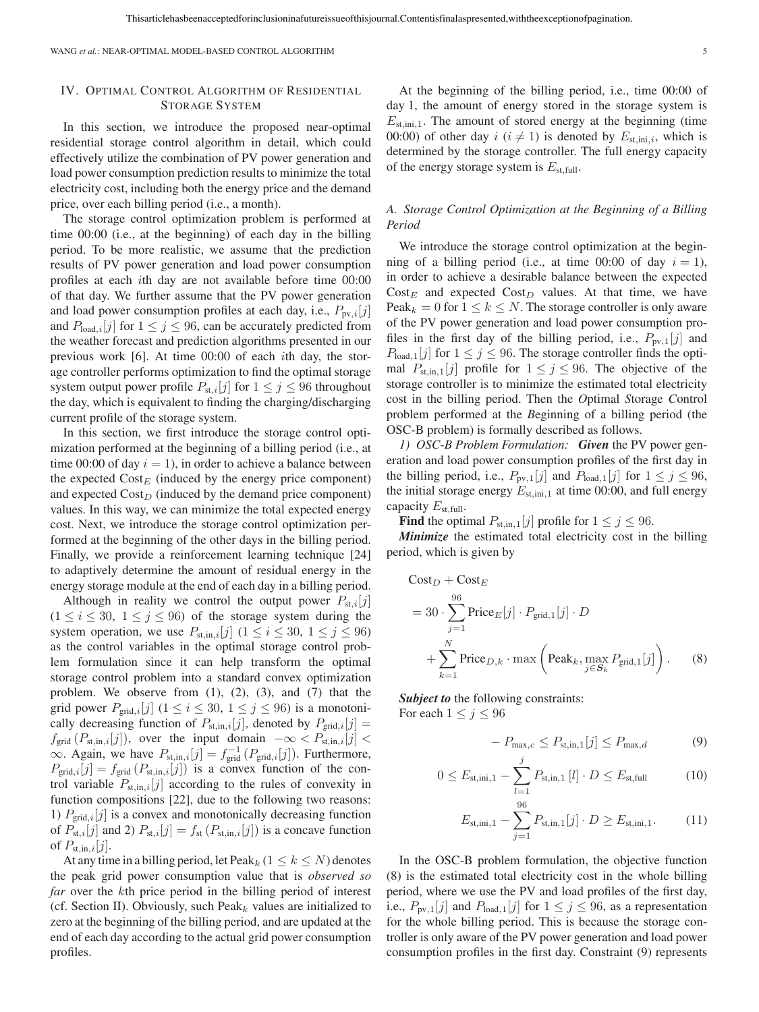WANG *et al.*: NEAR-OPTIMAL MODEL-BASED CONTROL ALGORITHM 5

## IV. OPTIMAL CONTROL ALGORITHM OF RESIDENTIAL STORAGE SYSTEM

In this section, we introduce the proposed near-optimal residential storage control algorithm in detail, which could effectively utilize the combination of PV power generation and load power consumption prediction results to minimize the total electricity cost, including both the energy price and the demand price, over each billing period (i.e., a month).

The storage control optimization problem is performed at time 00:00 (i.e., at the beginning) of each day in the billing period. To be more realistic, we assume that the prediction results of PV power generation and load power consumption profiles at each ith day are not available before time 00:00 of that day. We further assume that the PV power generation and load power consumption profiles at each day, i.e.,  $P_{\text{pv},i}[j]$ and  $P_{load,i}[j]$  for  $1 \leq j \leq 96$ , can be accurately predicted from the weather forecast and prediction algorithms presented in our previous work [6]. At time 00:00 of each ith day, the storage controller performs optimization to find the optimal storage system output power profile  $P_{st,i}[j]$  for  $1 \leq j \leq 96$  throughout the day, which is equivalent to finding the charging/discharging current profile of the storage system.

In this section, we first introduce the storage control optimization performed at the beginning of a billing period (i.e., at time 00:00 of day  $i = 1$ ), in order to achieve a balance between the expected  $Cost_E$  (induced by the energy price component) and expected  $Cost<sub>D</sub>$  (induced by the demand price component) values. In this way, we can minimize the total expected energy cost. Next, we introduce the storage control optimization performed at the beginning of the other days in the billing period. Finally, we provide a reinforcement learning technique [24] to adaptively determine the amount of residual energy in the energy storage module at the end of each day in a billing period.

Although in reality we control the output power  $P_{st,i}[j]$  $(1 \le i \le 30, 1 \le j \le 96)$  of the storage system during the system operation, we use  $P_{\text{st},\text{in},i}[j]$   $(1 \le i \le 30, 1 \le j \le 96)$ as the control variables in the optimal storage control problem formulation since it can help transform the optimal storage control problem into a standard convex optimization problem. We observe from  $(1)$ ,  $(2)$ ,  $(3)$ , and  $(7)$  that the grid power  $P_{\text{grid},i}[j]$  ( $1 \le i \le 30, 1 \le j \le 96$ ) is a monotonically decreasing function of  $P_{st,in,i}[j]$ , denoted by  $P_{grid,i}[j]$  =  $f_{\text{grid}}(P_{\text{st},\text{in},i}[j])$ , over the input domain  $-\infty < P_{\text{st},\text{in},i}[j]$  $\infty$ . Again, we have  $P_{st, \text{in}, i}[j] = f_{grid}^{-1}(P_{grid, i}[j])$ . Furthermore,  $P_{\text{grid},i}[j] = f_{\text{grid}}(P_{\text{st},\text{in},i}[j])$  is a convex function of the control variable  $P_{st,in,i}[j]$  according to the rules of convexity in function compositions [22], due to the following two reasons: 1)  $P_{\text{grid},i}[j]$  is a convex and monotonically decreasing function of  $P_{st,i}[j]$  and 2)  $P_{st,i}[j] = f_{st}(P_{st,in,i}[j])$  is a concave function of  $P_{\text{st.in.}i}[j]$ .

At any time in a billing period, let Peak<sub>k</sub>  $(1 \leq k \leq N)$  denotes the peak grid power consumption value that is *observed so far* over the kth price period in the billing period of interest (cf. Section II). Obviously, such Peak<sub>k</sub> values are initialized to zero at the beginning of the billing period, and are updated at the end of each day according to the actual grid power consumption profiles.

At the beginning of the billing period, i.e., time 00:00 of day 1, the amount of energy stored in the storage system is  $E_{\text{st,ini},1}$ . The amount of stored energy at the beginning (time 00:00) of other day  $i$  ( $i \neq 1$ ) is denoted by  $E_{\text{st,ini},i}$ , which is determined by the storage controller. The full energy capacity of the energy storage system is  $E_{\text{st,full}}$ .

## *A. Storage Control Optimization at the Beginning of a Billing Period*

We introduce the storage control optimization at the beginning of a billing period (i.e., at time 00:00 of day  $i = 1$ ), in order to achieve a desirable balance between the expected  $\text{Cost}_E$  and expected  $\text{Cost}_D$  values. At that time, we have Peak<sub>k</sub> = 0 for  $1 \le k \le N$ . The storage controller is only aware of the PV power generation and load power consumption profiles in the first day of the billing period, i.e.,  $P_{\text{pv},1}[j]$  and  $P_{load,1}[j]$  for  $1 \leq j \leq 96$ . The storage controller finds the optimal  $P_{\text{st},\text{in},1}[j]$  profile for  $1 \leq j \leq 96$ . The objective of the storage controller is to minimize the estimated total electricity cost in the billing period. Then the *O*ptimal *S*torage *C*ontrol problem performed at the *B*eginning of a billing period (the OSC-B problem) is formally described as follows.

*1) OSC-B Problem Formulation: Given* the PV power generation and load power consumption profiles of the first day in the billing period, i.e.,  $P_{\text{pv},1}[j]$  and  $P_{\text{load},1}[j]$  for  $1 \leq j \leq 96$ , the initial storage energy  $E_{\text{st,ini,1}}$  at time 00:00, and full energy capacity  $E_{\text{st,full}}$ .

**Find** the optimal  $P_{\text{st,in},1}[j]$  profile for  $1 \leq j \leq 96$ .

*Minimize* the estimated total electricity cost in the billing period, which is given by

$$
\begin{aligned} \text{Cost}_D &+ \text{Cost}_E \\ &= 30 \cdot \sum_{j=1}^{96} \text{Price}_E[j] \cdot P_{\text{grid},1}[j] \cdot D \\ &+ \sum_{k=1}^{N} \text{Price}_{D,k} \cdot \max\left(\text{Peak}_k, \max_{j \in S_k} P_{\text{grid},1}[j]\right). \end{aligned} \tag{8}
$$

*Subject to* the following constraints: For each  $1 \leq j \leq 96$ 

$$
- P_{\max,c} \leq P_{\text{st,in},1}[j] \leq P_{\max,d} \tag{9}
$$

$$
0 \le E_{\text{st,ini},1} - \sum_{l=1}^{j} P_{\text{st,in},1} [l] \cdot D \le E_{\text{st,full}} \tag{10}
$$

$$
E_{\text{st,ini},1} - \sum_{j=1}^{96} P_{\text{st,in},1}[j] \cdot D \ge E_{\text{st,ini},1}.\tag{11}
$$

In the OSC-B problem formulation, the objective function (8) is the estimated total electricity cost in the whole billing period, where we use the PV and load profiles of the first day, i.e.,  $P_{\text{pv},1}[j]$  and  $P_{\text{load},1}[j]$  for  $1 \leq j \leq 96$ , as a representation for the whole billing period. This is because the storage controller is only aware of the PV power generation and load power consumption profiles in the first day. Constraint (9) represents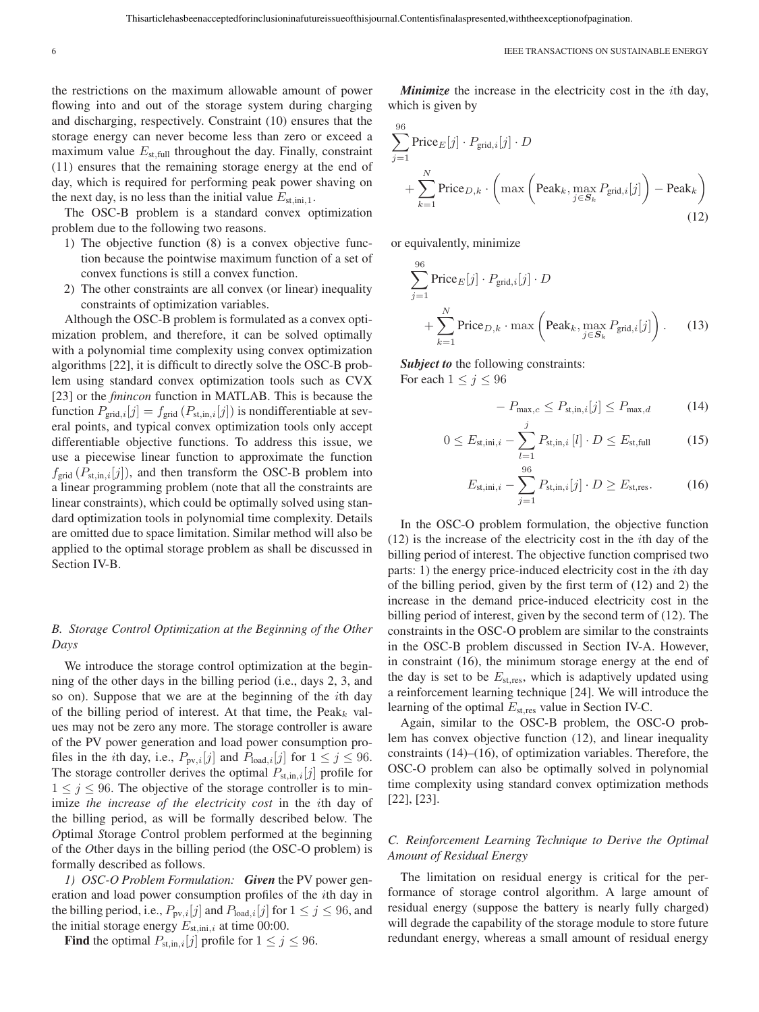the restrictions on the maximum allowable amount of power flowing into and out of the storage system during charging and discharging, respectively. Constraint (10) ensures that the storage energy can never become less than zero or exceed a maximum value  $E_{\text{st,full}}$  throughout the day. Finally, constraint (11) ensures that the remaining storage energy at the end of day, which is required for performing peak power shaving on the next day, is no less than the initial value  $E_{\text{st,ini,1}}$ .

The OSC-B problem is a standard convex optimization problem due to the following two reasons.

- 1) The objective function (8) is a convex objective function because the pointwise maximum function of a set of convex functions is still a convex function.
- 2) The other constraints are all convex (or linear) inequality constraints of optimization variables.

Although the OSC-B problem is formulated as a convex optimization problem, and therefore, it can be solved optimally with a polynomial time complexity using convex optimization algorithms [22], it is difficult to directly solve the OSC-B problem using standard convex optimization tools such as CVX [23] or the *fmincon* function in MATLAB. This is because the function  $P_{grid,i}[j] = f_{grid}(P_{st,in,i}[j])$  is nondifferentiable at several points, and typical convex optimization tools only accept differentiable objective functions. To address this issue, we use a piecewise linear function to approximate the function  $f_{\text{grid}}(P_{\text{st},\text{in},i}[j])$ , and then transform the OSC-B problem into a linear programming problem (note that all the constraints are linear constraints), which could be optimally solved using standard optimization tools in polynomial time complexity. Details are omitted due to space limitation. Similar method will also be applied to the optimal storage problem as shall be discussed in Section IV-B.

# *B. Storage Control Optimization at the Beginning of the Other Days*

We introduce the storage control optimization at the beginning of the other days in the billing period (i.e., days 2, 3, and so on). Suppose that we are at the beginning of the ith day of the billing period of interest. At that time, the  $Peak_k$  values may not be zero any more. The storage controller is aware of the PV power generation and load power consumption profiles in the *i*th day, i.e.,  $P_{\text{pv},i}[j]$  and  $P_{\text{load},i}[j]$  for  $1 \leq j \leq 96$ . The storage controller derives the optimal  $P_{st,in,i}[j]$  profile for  $1 \leq j \leq 96$ . The objective of the storage controller is to minimize *the increase of the electricity cost* in the ith day of the billing period, as will be formally described below. The *O*ptimal *S*torage *C*ontrol problem performed at the beginning of the *O*ther days in the billing period (the OSC-O problem) is formally described as follows.

*1) OSC-O Problem Formulation: Given* the PV power generation and load power consumption profiles of the ith day in the billing period, i.e.,  $P_{\text{pv},i}[j]$  and  $P_{\text{load},i}[j]$  for  $1 \leq j \leq 96$ , and the initial storage energy  $E_{\text{st,ini},i}$  at time 00:00.

**Find** the optimal  $P_{st,in,i}[j]$  profile for  $1 \leq j \leq 96$ .

*Minimize* the increase in the electricity cost in the ith day, which is given by

$$
\sum_{j=1}^{96} \text{Price}_E[j] \cdot P_{\text{grid},i}[j] \cdot D
$$
  
+ 
$$
\sum_{k=1}^{N} \text{Price}_{D,k} \cdot \left( \max \left( \text{Peak}_k, \max_{j \in S_k} P_{\text{grid},i}[j] \right) - \text{Peak}_k \right)
$$
  
(12)

or equivalently, minimize

$$
\sum_{j=1}^{96} \text{Price}_E[j] \cdot P_{\text{grid},i}[j] \cdot D
$$
  
+ 
$$
\sum_{k=1}^{N} \text{Price}_{D,k} \cdot \max\left(\text{Peak}_k, \max_{j \in S_k} P_{\text{grid},i}[j]\right).
$$
 (13)

*Subject to* the following constraints: For each  $1 \le j \le 96$ 

$$
- P_{\max,c} \le P_{\text{st,in},i}[j] \le P_{\max,d} \tag{14}
$$

$$
0 \le E_{\text{st,ini},i} - \sum_{l=1}^{j} P_{\text{st,in},i} [l] \cdot D \le E_{\text{st,full}} \tag{15}
$$

$$
E_{\text{st,ini},i} - \sum_{j=1}^{96} P_{\text{st,in},i}[j] \cdot D \ge E_{\text{st,res}}.
$$
 (16)

In the OSC-O problem formulation, the objective function (12) is the increase of the electricity cost in the ith day of the billing period of interest. The objective function comprised two parts: 1) the energy price-induced electricity cost in the ith day of the billing period, given by the first term of (12) and 2) the increase in the demand price-induced electricity cost in the billing period of interest, given by the second term of (12). The constraints in the OSC-O problem are similar to the constraints in the OSC-B problem discussed in Section IV-A. However, in constraint (16), the minimum storage energy at the end of the day is set to be  $E_{\text{st,res}}$ , which is adaptively updated using a reinforcement learning technique [24]. We will introduce the learning of the optimal  $E_{\text{st,res}}$  value in Section IV-C.

Again, similar to the OSC-B problem, the OSC-O problem has convex objective function (12), and linear inequality constraints (14)–(16), of optimization variables. Therefore, the OSC-O problem can also be optimally solved in polynomial time complexity using standard convex optimization methods [22], [23].

## *C. Reinforcement Learning Technique to Derive the Optimal Amount of Residual Energy*

The limitation on residual energy is critical for the performance of storage control algorithm. A large amount of residual energy (suppose the battery is nearly fully charged) will degrade the capability of the storage module to store future redundant energy, whereas a small amount of residual energy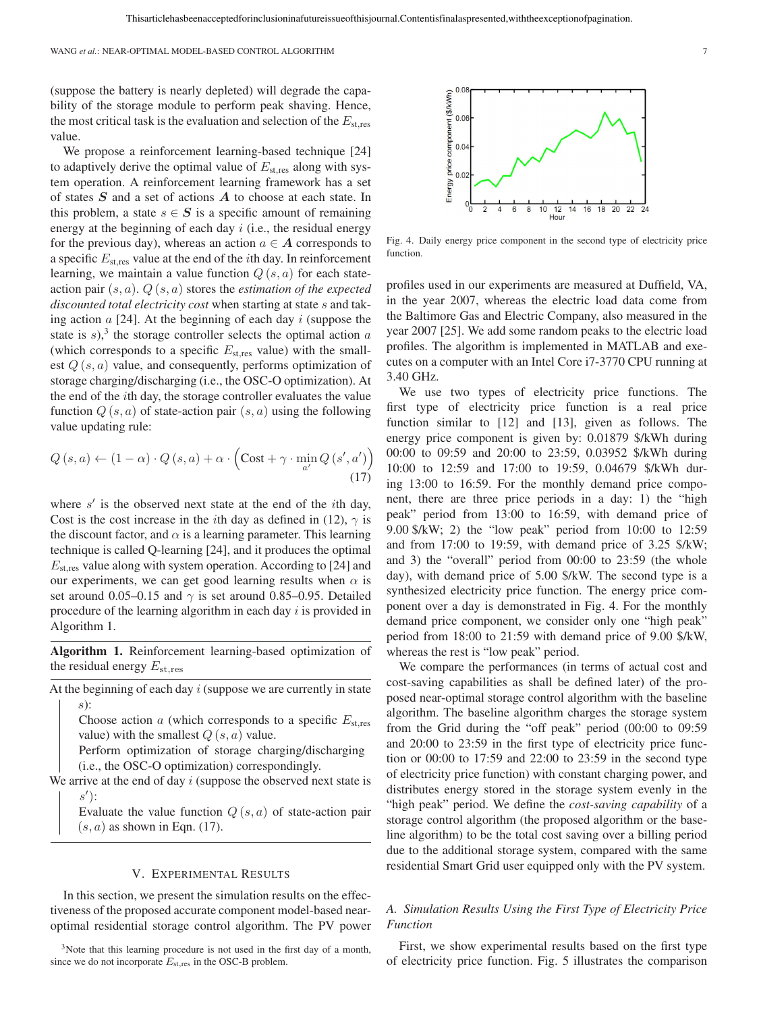(suppose the battery is nearly depleted) will degrade the capability of the storage module to perform peak shaving. Hence, the most critical task is the evaluation and selection of the  $E_{\rm st,res}$ value.

We propose a reinforcement learning-based technique [24] to adaptively derive the optimal value of  $E_{\text{st,res}}$  along with system operation. A reinforcement learning framework has a set of states *S* and a set of actions *A* to choose at each state. In this problem, a state  $s \in S$  is a specific amount of remaining energy at the beginning of each day  $i$  (i.e., the residual energy for the previous day), whereas an action  $a \in A$  corresponds to a specific  $E_{\text{st,res}}$  value at the end of the *i*th day. In reinforcement learning, we maintain a value function  $Q(s, a)$  for each stateaction pair (s, a). Q (s, a) stores the *estimation of the expected discounted total electricity cost* when starting at state s and taking action  $a$  [24]. At the beginning of each day i (suppose the state is s),<sup>3</sup> the storage controller selects the optimal action  $a$ (which corresponds to a specific  $E_{\text{st,res}}$  value) with the smallest  $Q(s, a)$  value, and consequently, performs optimization of storage charging/discharging (i.e., the OSC-O optimization). At the end of the ith day, the storage controller evaluates the value function  $Q(s, a)$  of state-action pair  $(s, a)$  using the following value updating rule:

$$
Q(s, a) \leftarrow (1 - \alpha) \cdot Q(s, a) + \alpha \cdot \left( \text{Cost} + \gamma \cdot \min_{a'} Q(s', a') \right) \tag{17}
$$

where  $s'$  is the observed next state at the end of the *i*th day, Cost is the cost increase in the *i*th day as defined in (12),  $\gamma$  is the discount factor, and  $\alpha$  is a learning parameter. This learning technique is called Q-learning [24], and it produces the optimal  $E_{\rm st, res}$  value along with system operation. According to [24] and our experiments, we can get good learning results when  $\alpha$  is set around 0.05–0.15 and  $\gamma$  is set around 0.85–0.95. Detailed procedure of the learning algorithm in each day  $i$  is provided in Algorithm 1.

**Algorithm 1.** Reinforcement learning-based optimization of the residual energy  $E_{\rm st,res}$ 

At the beginning of each day  $i$  (suppose we are currently in state s):

Choose action  $\alpha$  (which corresponds to a specific  $E_{\text{st,res}}$ value) with the smallest  $Q(s, a)$  value.

Perform optimization of storage charging/discharging (i.e., the OSC-O optimization) correspondingly.

We arrive at the end of day  $i$  (suppose the observed next state is s ):

Evaluate the value function  $Q(s, a)$  of state-action pair  $(s, a)$  as shown in Eqn. (17).

### V. EXPERIMENTAL RESULTS

In this section, we present the simulation results on the effectiveness of the proposed accurate component model-based nearoptimal residential storage control algorithm. The PV power

<sup>3</sup>Note that this learning procedure is not used in the first day of a month, since we do not incorporate *E*st*,*res in the OSC-B problem.



Fig. 4. Daily energy price component in the second type of electricity price function.

profiles used in our experiments are measured at Duffield, VA, in the year 2007, whereas the electric load data come from the Baltimore Gas and Electric Company, also measured in the year 2007 [25]. We add some random peaks to the electric load profiles. The algorithm is implemented in MATLAB and executes on a computer with an Intel Core i7-3770 CPU running at 3.40 GHz.

We use two types of electricity price functions. The first type of electricity price function is a real price function similar to [12] and [13], given as follows. The energy price component is given by: 0.01879 \$/kWh during 00:00 to 09:59 and 20:00 to 23:59, 0.03952 \$/kWh during 10:00 to 12:59 and 17:00 to 19:59, 0.04679 \$/kWh during 13:00 to 16:59. For the monthly demand price component, there are three price periods in a day: 1) the "high peak" period from 13:00 to 16:59, with demand price of 9.00 \$/kW; 2) the "low peak" period from 10:00 to 12:59 and from 17:00 to 19:59, with demand price of 3.25 \$/kW; and 3) the "overall" period from 00:00 to 23:59 (the whole day), with demand price of 5.00 \$/kW. The second type is a synthesized electricity price function. The energy price component over a day is demonstrated in Fig. 4. For the monthly demand price component, we consider only one "high peak" period from 18:00 to 21:59 with demand price of 9.00 \$/kW, whereas the rest is "low peak" period.

We compare the performances (in terms of actual cost and cost-saving capabilities as shall be defined later) of the proposed near-optimal storage control algorithm with the baseline algorithm. The baseline algorithm charges the storage system from the Grid during the "off peak" period (00:00 to 09:59 and 20:00 to 23:59 in the first type of electricity price function or 00:00 to 17:59 and 22:00 to 23:59 in the second type of electricity price function) with constant charging power, and distributes energy stored in the storage system evenly in the "high peak" period. We define the *cost-saving capability* of a storage control algorithm (the proposed algorithm or the baseline algorithm) to be the total cost saving over a billing period due to the additional storage system, compared with the same residential Smart Grid user equipped only with the PV system.

## *A. Simulation Results Using the First Type of Electricity Price Function*

First, we show experimental results based on the first type of electricity price function. Fig. 5 illustrates the comparison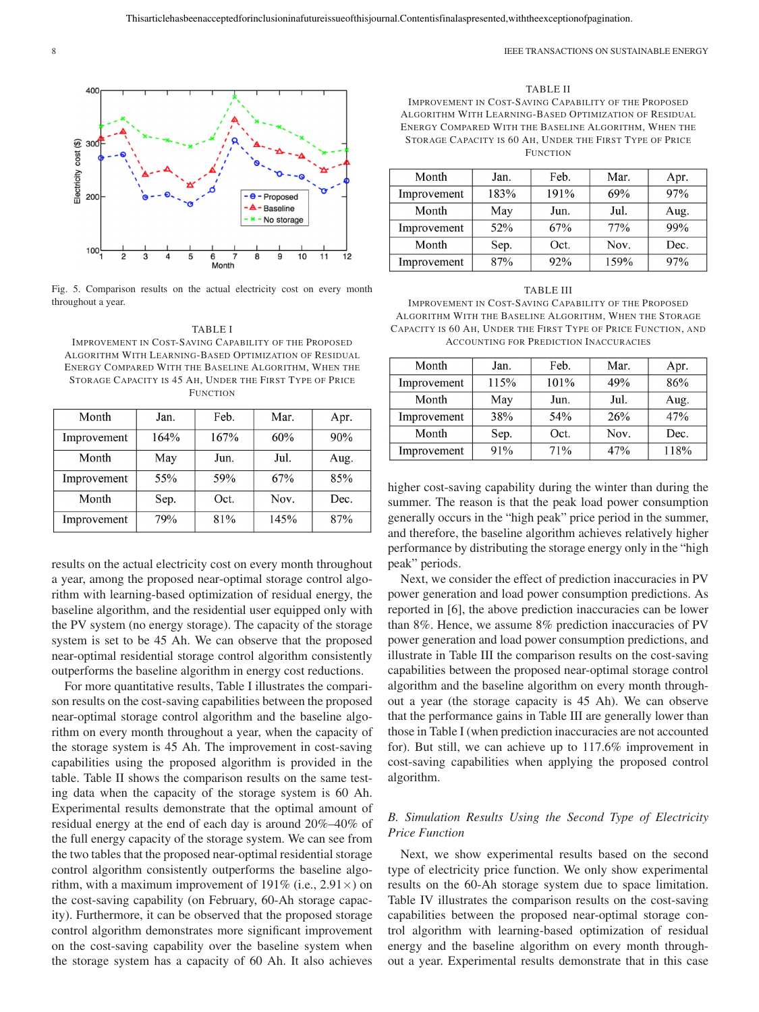

Fig. 5. Comparison results on the actual electricity cost on every month throughout a year.

#### TABLE I

IMPROVEMENT IN COST-SAVING CAPABILITY OF THE PROPOSED ALGORITHM WITH LEARNING-BASED OPTIMIZATION OF RESIDUAL ENERGY COMPARED WITH THE BASELINE ALGORITHM, WHEN THE STORAGE CAPACITY IS 45 AH, UNDER THE FIRST TYPE OF PRICE FUNCTION

| Month       | Jan. | Feb. | Mar. | Apr. |
|-------------|------|------|------|------|
| Improvement | 164% | 167% | 60%  | 90%  |
| Month       | May  | Jun. | Jul. | Aug. |
| Improvement | 55%  | 59%  | 67%  | 85%  |
| Month       | Sep. | Oct. | Nov. | Dec. |
| Improvement | 79%  | 81%  | 145% | 87%  |

results on the actual electricity cost on every month throughout a year, among the proposed near-optimal storage control algorithm with learning-based optimization of residual energy, the baseline algorithm, and the residential user equipped only with the PV system (no energy storage). The capacity of the storage system is set to be 45 Ah. We can observe that the proposed near-optimal residential storage control algorithm consistently outperforms the baseline algorithm in energy cost reductions.

For more quantitative results, Table I illustrates the comparison results on the cost-saving capabilities between the proposed near-optimal storage control algorithm and the baseline algorithm on every month throughout a year, when the capacity of the storage system is 45 Ah. The improvement in cost-saving capabilities using the proposed algorithm is provided in the table. Table II shows the comparison results on the same testing data when the capacity of the storage system is 60 Ah. Experimental results demonstrate that the optimal amount of residual energy at the end of each day is around 20%–40% of the full energy capacity of the storage system. We can see from the two tables that the proposed near-optimal residential storage control algorithm consistently outperforms the baseline algorithm, with a maximum improvement of 191% (i.e.,  $2.91 \times$ ) on the cost-saving capability (on February, 60-Ah storage capacity). Furthermore, it can be observed that the proposed storage control algorithm demonstrates more significant improvement on the cost-saving capability over the baseline system when the storage system has a capacity of 60 Ah. It also achieves

TABLE II IMPROVEMENT IN COST-SAVING CAPABILITY OF THE PROPOSED ALGORITHM WITH LEARNING-BASED OPTIMIZATION OF RESIDUAL ENERGY COMPARED WITH THE BASELINE ALGORITHM, WHEN THE STORAGE CAPACITY IS 60 AH, UNDER THE FIRST TYPE OF PRICE **FUNCTION** 

| Month       | Jan. | Feb. | Mar. | Apr. |
|-------------|------|------|------|------|
| Improvement | 183% | 191% | 69%  | 97%  |
| Month       | May  | Jun. | Jul. | Aug. |
| Improvement | 52%  | 67%  | 77%  | 99%  |
| Month       | Sep. | Oct. | Nov. | Dec. |
| Improvement | 87%  | 92%  | 159% | 97%  |

#### TABLE III

IMPROVEMENT IN COST-SAVING CAPABILITY OF THE PROPOSED ALGORITHM WITH THE BASELINE ALGORITHM, WHEN THE STORAGE CAPACITY IS 60 AH, UNDER THE FIRST TYPE OF PRICE FUNCTION, AND ACCOUNTING FOR PREDICTION INACCURACIES

| Month       | Jan. | Feb. | Mar. | Apr. |
|-------------|------|------|------|------|
| Improvement | 115% | 101% | 49%  | 86%  |
| Month       | May  | Jun. | Jul. | Aug. |
| Improvement | 38%  | 54%  | 26%  | 47%  |
| Month       | Sep. | Oct. | Nov. | Dec. |
| Improvement | 91%  | 71%  | 47%  | 118% |

higher cost-saving capability during the winter than during the summer. The reason is that the peak load power consumption generally occurs in the "high peak" price period in the summer, and therefore, the baseline algorithm achieves relatively higher performance by distributing the storage energy only in the "high peak" periods.

Next, we consider the effect of prediction inaccuracies in PV power generation and load power consumption predictions. As reported in [6], the above prediction inaccuracies can be lower than 8%. Hence, we assume 8% prediction inaccuracies of PV power generation and load power consumption predictions, and illustrate in Table III the comparison results on the cost-saving capabilities between the proposed near-optimal storage control algorithm and the baseline algorithm on every month throughout a year (the storage capacity is 45 Ah). We can observe that the performance gains in Table III are generally lower than those in Table I (when prediction inaccuracies are not accounted for). But still, we can achieve up to 117.6% improvement in cost-saving capabilities when applying the proposed control algorithm.

# *B. Simulation Results Using the Second Type of Electricity Price Function*

Next, we show experimental results based on the second type of electricity price function. We only show experimental results on the 60-Ah storage system due to space limitation. Table IV illustrates the comparison results on the cost-saving capabilities between the proposed near-optimal storage control algorithm with learning-based optimization of residual energy and the baseline algorithm on every month throughout a year. Experimental results demonstrate that in this case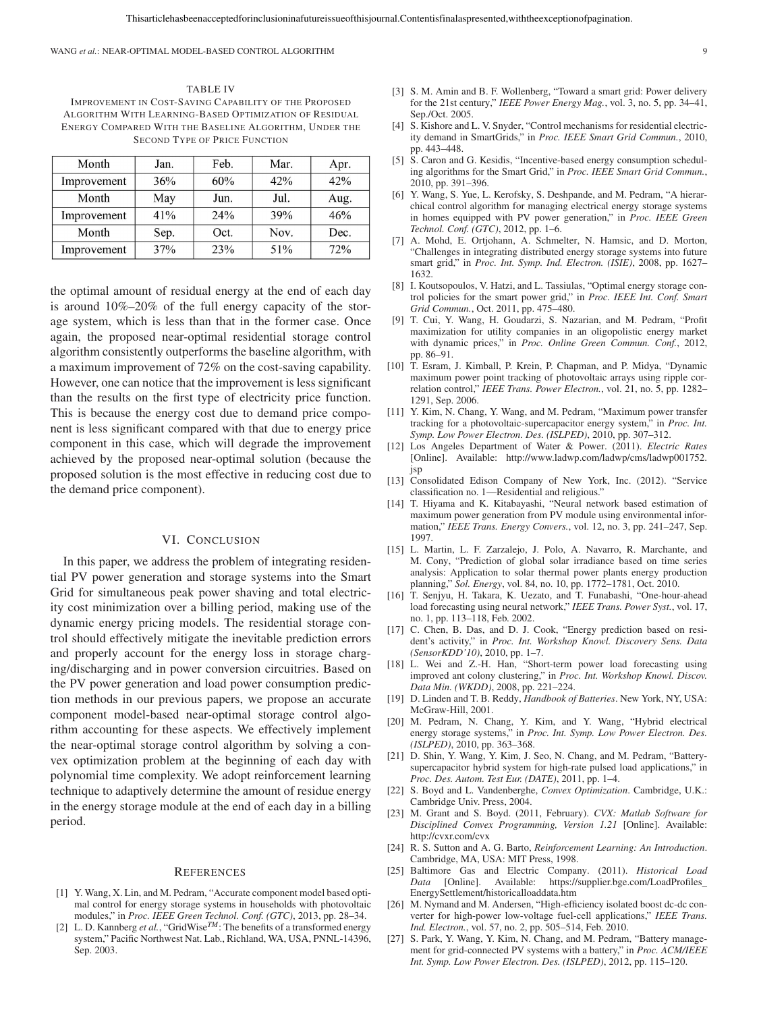WANG *et al.*: NEAR-OPTIMAL MODEL-BASED CONTROL ALGORITHM 9

TABLE IV IMPROVEMENT IN COST-SAVING CAPABILITY OF THE PROPOSED ALGORITHM WITH LEARNING-BASED OPTIMIZATION OF RESIDUAL ENERGY COMPARED WITH THE BASELINE ALGORITHM, UNDER THE SECOND TYPE OF PRICE FUNCTION

| Month       | Jan. | Feb. | Mar. | Apr. |
|-------------|------|------|------|------|
| Improvement | 36%  | 60%  | 42%  | 42%  |
| Month       | May  | Jun. | Jul. | Aug. |
| Improvement | 41%  | 24%  | 39%  | 46%  |
| Month       | Sep. | Oct. | Nov. | Dec. |
| Improvement | 37%  | 23%  | 51%  | 72%  |

the optimal amount of residual energy at the end of each day is around 10%–20% of the full energy capacity of the storage system, which is less than that in the former case. Once again, the proposed near-optimal residential storage control algorithm consistently outperforms the baseline algorithm, with a maximum improvement of 72% on the cost-saving capability. However, one can notice that the improvement is less significant than the results on the first type of electricity price function. This is because the energy cost due to demand price component is less significant compared with that due to energy price component in this case, which will degrade the improvement achieved by the proposed near-optimal solution (because the proposed solution is the most effective in reducing cost due to the demand price component).

## VI. CONCLUSION

In this paper, we address the problem of integrating residential PV power generation and storage systems into the Smart Grid for simultaneous peak power shaving and total electricity cost minimization over a billing period, making use of the dynamic energy pricing models. The residential storage control should effectively mitigate the inevitable prediction errors and properly account for the energy loss in storage charging/discharging and in power conversion circuitries. Based on the PV power generation and load power consumption prediction methods in our previous papers, we propose an accurate component model-based near-optimal storage control algorithm accounting for these aspects. We effectively implement the near-optimal storage control algorithm by solving a convex optimization problem at the beginning of each day with polynomial time complexity. We adopt reinforcement learning technique to adaptively determine the amount of residue energy in the energy storage module at the end of each day in a billing period.

#### **REFERENCES**

- [1] Y. Wang, X. Lin, and M. Pedram, "Accurate component model based optimal control for energy storage systems in households with photovoltaic modules," in *Proc. IEEE Green Technol. Conf. (GTC)*, 2013, pp. 28–34.
- [2] L. D. Kannberg *et al.*, "GridWise<sup>TM</sup>: The benefits of a transformed energy system," Pacific Northwest Nat. Lab., Richland, WA, USA, PNNL-14396, Sep. 2003.
- [3] S. M. Amin and B. F. Wollenberg, "Toward a smart grid: Power delivery for the 21st century," *IEEE Power Energy Mag.*, vol. 3, no. 5, pp. 34–41, Sep./Oct. 2005.
- [4] S. Kishore and L. V. Snyder, "Control mechanisms for residential electricity demand in SmartGrids," in *Proc. IEEE Smart Grid Commun.*, 2010, pp. 443–448.
- [5] S. Caron and G. Kesidis, "Incentive-based energy consumption scheduling algorithms for the Smart Grid," in *Proc. IEEE Smart Grid Commun.*, 2010, pp. 391–396.
- [6] Y. Wang, S. Yue, L. Kerofsky, S. Deshpande, and M. Pedram, "A hierarchical control algorithm for managing electrical energy storage systems in homes equipped with PV power generation," in *Proc. IEEE Green Technol. Conf. (GTC)*, 2012, pp. 1–6.
- [7] A. Mohd, E. Ortjohann, A. Schmelter, N. Hamsic, and D. Morton, "Challenges in integrating distributed energy storage systems into future smart grid," in *Proc. Int. Symp. Ind. Electron. (ISIE)*, 2008, pp. 1627– 1632.
- [8] I. Koutsopoulos, V. Hatzi, and L. Tassiulas, "Optimal energy storage control policies for the smart power grid," in *Proc. IEEE Int. Conf. Smart Grid Commun.*, Oct. 2011, pp. 475–480.
- [9] T. Cui, Y. Wang, H. Goudarzi, S. Nazarian, and M. Pedram, "Profit maximization for utility companies in an oligopolistic energy market with dynamic prices," in *Proc. Online Green Commun. Conf.*, 2012, pp. 86–91.
- [10] T. Esram, J. Kimball, P. Krein, P. Chapman, and P. Midya, "Dynamic maximum power point tracking of photovoltaic arrays using ripple correlation control," *IEEE Trans. Power Electron.*, vol. 21, no. 5, pp. 1282– 1291, Sep. 2006.
- [11] Y. Kim, N. Chang, Y. Wang, and M. Pedram, "Maximum power transfer tracking for a photovoltaic-supercapacitor energy system," in *Proc. Int. Symp. Low Power Electron. Des. (ISLPED)*, 2010, pp. 307–312.
- [12] Los Angeles Department of Water & Power. (2011). *Electric Rates* [Online]. Available: http://www.ladwp.com/ladwp/cms/ladwp001752. jsp
- [13] Consolidated Edison Company of New York, Inc. (2012). "Service classification no. 1—Residential and religious.'
- [14] T. Hiyama and K. Kitabayashi, "Neural network based estimation of maximum power generation from PV module using environmental information," *IEEE Trans. Energy Convers.*, vol. 12, no. 3, pp. 241–247, Sep. 1997.
- [15] L. Martin, L. F. Zarzalejo, J. Polo, A. Navarro, R. Marchante, and M. Cony, "Prediction of global solar irradiance based on time series analysis: Application to solar thermal power plants energy production planning," *Sol. Energy*, vol. 84, no. 10, pp. 1772–1781, Oct. 2010.
- [16] T. Senjyu, H. Takara, K. Uezato, and T. Funabashi, "One-hour-ahead load forecasting using neural network," *IEEE Trans. Power Syst.*, vol. 17, no. 1, pp. 113–118, Feb. 2002.
- [17] C. Chen, B. Das, and D. J. Cook, "Energy prediction based on resident's activity," in *Proc. Int. Workshop Knowl. Discovery Sens. Data (SensorKDD'10)*, 2010, pp. 1–7.
- [18] L. Wei and Z.-H. Han, "Short-term power load forecasting using improved ant colony clustering," in *Proc. Int. Workshop Knowl. Discov. Data Min. (WKDD)*, 2008, pp. 221–224.
- [19] D. Linden and T. B. Reddy, *Handbook of Batteries*. New York, NY, USA: McGraw-Hill, 2001.
- [20] M. Pedram, N. Chang, Y. Kim, and Y. Wang, "Hybrid electrical energy storage systems," in *Proc. Int. Symp. Low Power Electron. Des. (ISLPED)*, 2010, pp. 363–368.
- [21] D. Shin, Y. Wang, Y. Kim, J. Seo, N. Chang, and M. Pedram, "Batterysupercapacitor hybrid system for high-rate pulsed load applications," in *Proc. Des. Autom. Test Eur. (DATE)*, 2011, pp. 1–4.
- [22] S. Boyd and L. Vandenberghe, *Convex Optimization*. Cambridge, U.K.: Cambridge Univ. Press, 2004.
- [23] M. Grant and S. Boyd. (2011, February). *CVX: Matlab Software for Disciplined Convex Programming, Version 1.21* [Online]. Available: http://cvxr.com/cvx
- [24] R. S. Sutton and A. G. Barto, *Reinforcement Learning: An Introduction*. Cambridge, MA, USA: MIT Press, 1998.
- [25] Baltimore Gas and Electric Company. (2011). *Historical Load Data* [Online]. Available: https://supplier.bge.com/LoadProfiles\_ EnergySettlement/historicalloaddata.htm
- [26] M. Nymand and M. Andersen, "High-efficiency isolated boost dc-dc converter for high-power low-voltage fuel-cell applications," *IEEE Trans. Ind. Electron.*, vol. 57, no. 2, pp. 505–514, Feb. 2010.
- [27] S. Park, Y. Wang, Y. Kim, N. Chang, and M. Pedram, "Battery management for grid-connected PV systems with a battery," in *Proc. ACM/IEEE Int. Symp. Low Power Electron. Des. (ISLPED)*, 2012, pp. 115–120.